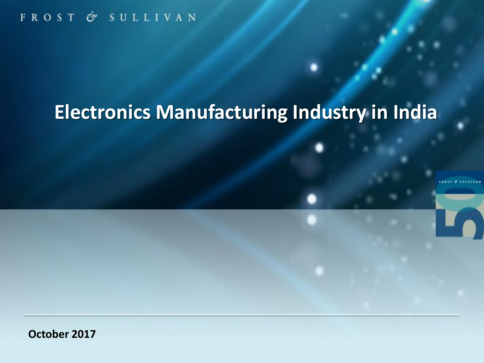FROST & SULLIVAN

# **Electronics Manufacturing Industry in India**

**October 2017**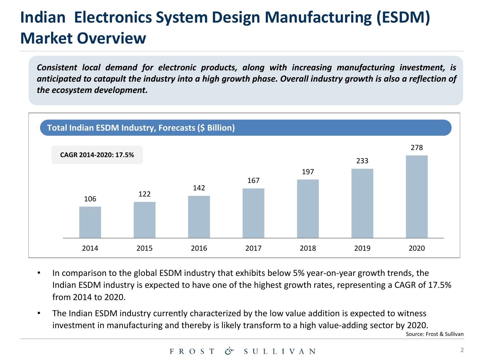### **Indian Electronics System Design Manufacturing (ESDM) Market Overview**

*Consistent local demand for electronic products, along with increasing manufacturing investment, is* anticipated to catapult the industry into a high growth phase. Overall industry growth is also a reflection of *the ecosystem development.*



- In comparison to the global ESDM industry that exhibits below 5% year-on-year growth trends, the Indian ESDM industry is expected to have one of the highest growth rates, representing a CAGR of 17.5% from 2014 to 2020.
- The Indian ESDM industry currently characterized by the low value addition is expected to witness investment in manufacturing and thereby is likely transform to a high value-adding sector by 2020.

Source: Frost & Sullivan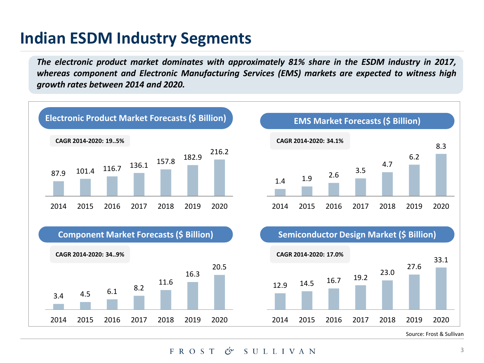### **Indian ESDM Industry Segments**

*The electronic product market dominates with approximately 81% share in the ESDM industry in 2017, whereas component and Electronic Manufacturing Services (EMS) markets are expected to witness high growth rates between 2014 and 2020.*



FROST  $\mathscr{C}$ ? SULLIVAN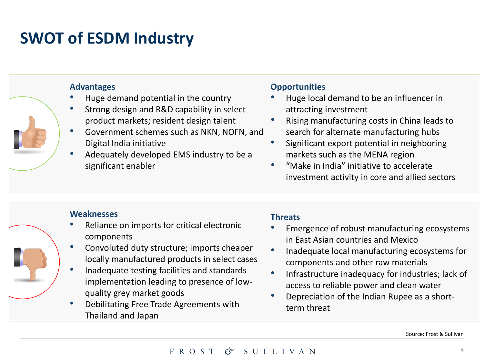### **SWOT of ESDM Industry**

#### **Advantages**

- Huge demand potential in the country
- Strong design and R&D capability in select product markets; resident design talent
- Government schemes such as NKN, NOFN, and Digital India initiative
- Adequately developed EMS industry to be a significant enabler

#### **Opportunities**

- Huge local demand to be an influencer in attracting investment
- Rising manufacturing costs in China leads to search for alternate manufacturing hubs
- Significant export potential in neighboring markets such as the MENA region
- "Make in India" initiative to accelerate investment activity in core and allied sectors

#### **Weaknesses**

- Reliance on imports for critical electronic components
- Convoluted duty structure; imports cheaper locally manufactured products in select cases
- Inadequate testing facilities and standards implementation leading to presence of lowquality grey market goods
- Debilitating Free Trade Agreements with Thailand and Japan

### **Threats**

- Emergence of robust manufacturing ecosystems in East Asian countries and Mexico
- Inadequate local manufacturing ecosystems for components and other raw materials
- Infrastructure inadequacy for industries; lack of access to reliable power and clean water
- Depreciation of the Indian Rupee as a shortterm threat

Source: Frost & Sullivan

#### FROST  $\mathscr{C}$ ? SULLIVAN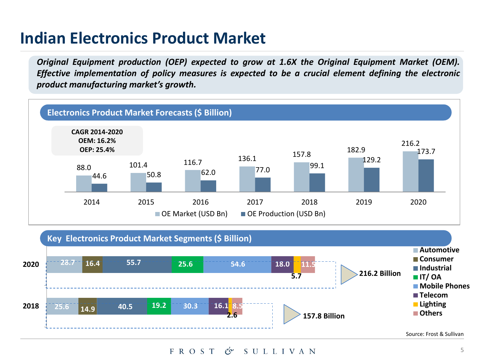### **Indian Electronics Product Market**

*Original Equipment production (OEP) expected to grow at 1.6X the Original Equipment Market (OEM). Effective implementation of policy measures is expected to be a crucial element defining the electronic product manufacturing market's growth.*





FROST  $\mathscr{C}$ ? SULLIVAN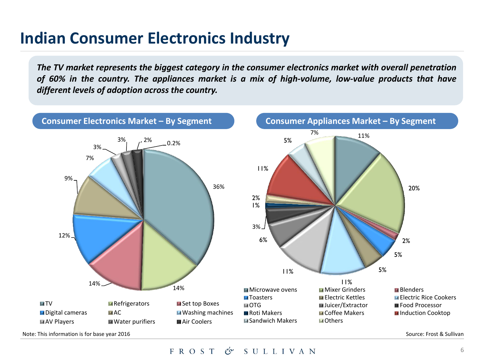### **Indian Consumer Electronics Industry**

*The TV market represents the biggest category in the consumer electronics market with overall penetration of 60% in the country. The appliances market is a mix of high-volume, low-value products that have different levels of adoption across the country.*



Note: This information is for base year 2016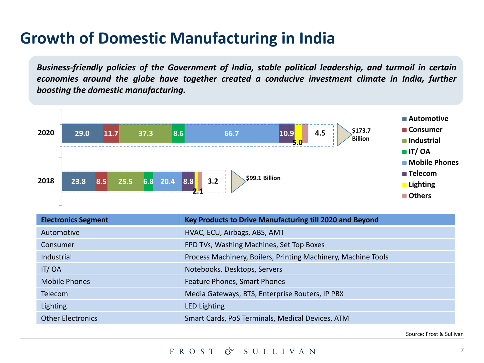### **Growth of Domestic Manufacturing in India**

*Business-friendly policies of the Government of India, stable political leadership, and turmoil in certain economies around the globe have together created a conducive investment climate in India, further boosting the domestic manufacturing.*



| <b>Electronics Segment</b> | Key Products to Drive Manufacturing till 2020 and Beyond      |
|----------------------------|---------------------------------------------------------------|
| Automotive                 | HVAC, ECU, Airbags, ABS, AMT                                  |
| Consumer                   | FPD TVs, Washing Machines, Set Top Boxes                      |
| <b>Industrial</b>          | Process Machinery, Boilers, Printing Machinery, Machine Tools |
| IT/OA                      | Notebooks, Desktops, Servers                                  |
| <b>Mobile Phones</b>       | Feature Phones, Smart Phones                                  |
| <b>Telecom</b>             | Media Gateways, BTS, Enterprise Routers, IP PBX               |
| Lighting                   | <b>LED Lighting</b>                                           |
| <b>Other Electronics</b>   | Smart Cards, PoS Terminals, Medical Devices, ATM              |

Source: Frost & Sullivan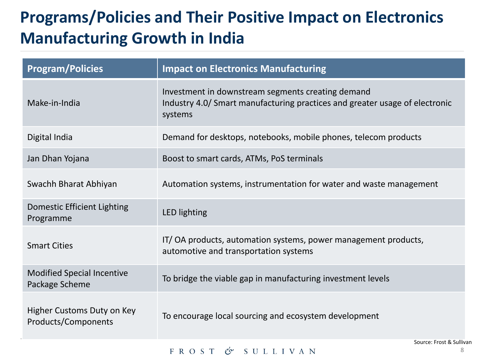## **Programs/Policies and Their Positive Impact on Electronics Manufacturing Growth in India**

| <b>Program/Policies</b>                             | <b>Impact on Electronics Manufacturing</b>                                                                                                  |
|-----------------------------------------------------|---------------------------------------------------------------------------------------------------------------------------------------------|
| Make-in-India                                       | Investment in downstream segments creating demand<br>Industry 4.0/ Smart manufacturing practices and greater usage of electronic<br>systems |
| Digital India                                       | Demand for desktops, notebooks, mobile phones, telecom products                                                                             |
| Jan Dhan Yojana                                     | Boost to smart cards, ATMs, PoS terminals                                                                                                   |
| Swachh Bharat Abhiyan                               | Automation systems, instrumentation for water and waste management                                                                          |
| Domestic Efficient Lighting<br>Programme            | <b>LED lighting</b>                                                                                                                         |
| <b>Smart Cities</b>                                 | IT/OA products, automation systems, power management products,<br>automotive and transportation systems                                     |
| <b>Modified Special Incentive</b><br>Package Scheme | To bridge the viable gap in manufacturing investment levels                                                                                 |
| Higher Customs Duty on Key<br>Products/Components   | To encourage local sourcing and ecosystem development                                                                                       |
|                                                     | Source: Frost & Sullivan<br>8<br>FROST<br>$\mathcal{O}$ SULLIVAN                                                                            |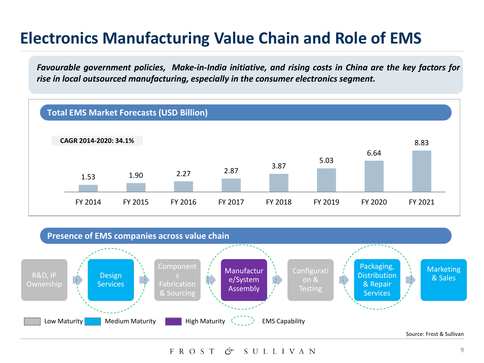### **Electronics Manufacturing Value Chain and Role of EMS**

*Favourable government policies, Make-in-India initiative, and rising costs in China are the key factors for rise in local outsourced manufacturing, especially in the consumer electronics segment.*





Source: Frost & Sullivan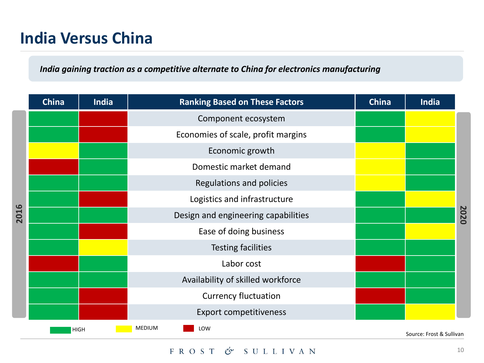### **India Versus China**

### *India gaining traction as a competitive alternate to China for electronics manufacturing*

|      | <b>China</b> | India | <b>Ranking Based on These Factors</b> | <b>China</b> | India                    |      |
|------|--------------|-------|---------------------------------------|--------------|--------------------------|------|
| 2016 |              |       | Component ecosystem                   |              |                          |      |
|      |              |       | Economies of scale, profit margins    |              |                          |      |
|      |              |       | Economic growth                       |              |                          |      |
|      |              |       | Domestic market demand                |              |                          |      |
|      |              |       | Regulations and policies              |              |                          |      |
|      |              |       | Logistics and infrastructure          |              |                          |      |
|      |              |       | Design and engineering capabilities   |              |                          | 2020 |
|      |              |       | Ease of doing business                |              |                          |      |
|      |              |       | <b>Testing facilities</b>             |              |                          |      |
|      |              |       | Labor cost                            |              |                          |      |
|      |              |       | Availability of skilled workforce     |              |                          |      |
|      |              |       | <b>Currency fluctuation</b>           |              |                          |      |
|      |              |       | <b>Export competitiveness</b>         |              |                          |      |
|      | <b>HIGH</b>  |       | <b>MEDIUM</b><br>LOW                  |              | Source: Frost & Sullivan |      |